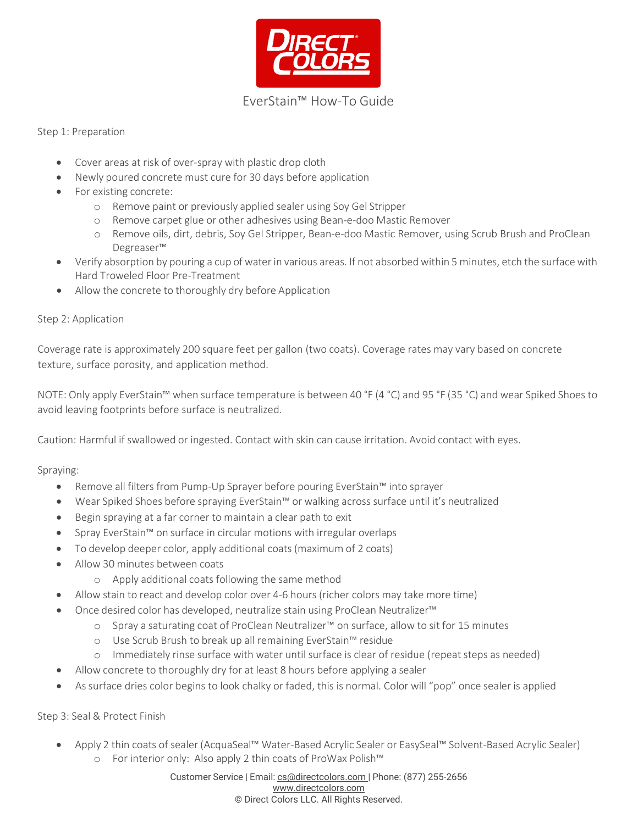

## Step 1: Preparation

- Cover areas at risk of over-spray with plastic drop cloth
- Newly poured concrete must cure for 30 days before application
- For existing concrete:
	- o Remove paint or previously applied sealer using Soy Gel Stripper
	- o Remove carpet glue or other adhesives using Bean-e-doo Mastic Remover
	- o Remove oils, dirt, debris, Soy Gel Stripper, Bean-e-doo Mastic Remover, using Scrub Brush and ProClean Degreaser™
- Verify absorption by pouring a cup of water in various areas. If not absorbed within 5 minutes, etch the surfacewith Hard Troweled Floor Pre-Treatment
- Allow the concrete to thoroughly dry before Application

## Step 2: Application

Coverage rate is approximately 200 square feet per gallon (two coats). Coverage rates may vary based on concrete texture, surface porosity, and application method.

NOTE: Only apply EverStain™ when surface temperature is between 40 °F (4 °C) and 95 °F (35 °C) and wear Spiked Shoes to avoid leaving footprints before surface is neutralized.

Caution: Harmful if swallowed or ingested. Contact with skin can cause irritation. Avoid contact with eyes.

Spraying:

- Remove all filters from Pump-Up Sprayer before pouring EverStain™ into sprayer
- Wear Spiked Shoes before spraying EverStain™ or walking across surface until it's neutralized
- Begin spraying at a far corner to maintain a clear path to exit
- Spray EverStain™ on surface in circular motions with irregular overlaps
- To develop deeper color, apply additional coats (maximum of 2 coats)
- Allow 30 minutes between coats
	- o Apply additional coats following the same method
- Allow stain to react and develop color over 4-6 hours (richer colors may take more time)
- Once desired color has developed, neutralize stain using ProClean Neutralizer™
	- o Spray a saturating coat of ProClean Neutralizer™ on surface, allow to sit for 15 minutes
	- o Use Scrub Brush to break up all remaining EverStain™ residue
	- o Immediately rinse surface with water until surface is clear of residue (repeatsteps as needed)
- Allow concrete to thoroughly dry for at least 8 hours before applying a sealer
- As surface dries color begins to look chalky or faded, this is normal. Color will "pop" once sealer is applied

Step 3: Seal & Protect Finish

• Apply 2 thin coats of sealer (AcquaSeal™ Water-Based Acrylic Sealer or EasySeal™ Solvent-Based Acrylic Sealer) o For interior only: Also apply 2 thin coats of ProWax Polish™

> Customer Service | Email: [cs@directcolors.com](mailto:cs@directcolors.com) | Phone: (877) 255-2656 [www.directcolors.com](http://www.directcolors.com/) © Direct Colors LLC. All Rights Reserved.